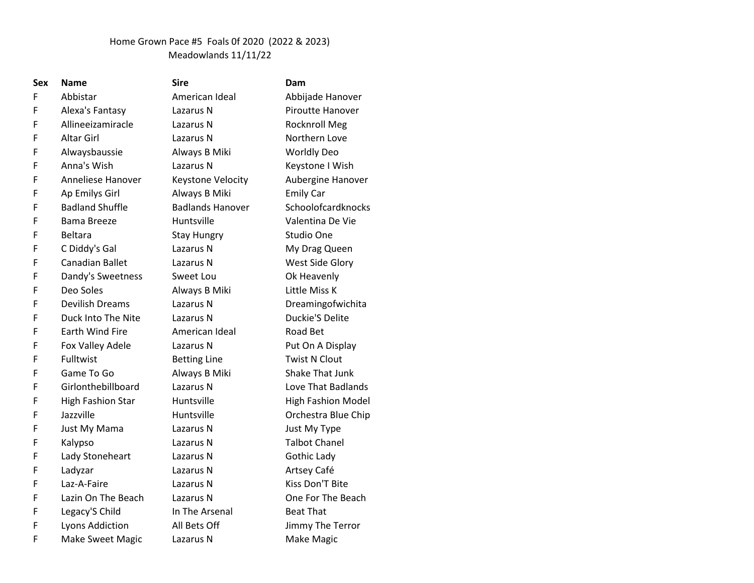## Home Grown Pace #5 Foals 0f 2020 (2022 & 2023) Meadowlands 11/11/22

| Sex | <b>Name</b>              | <b>Sire</b>             | Dam                       |
|-----|--------------------------|-------------------------|---------------------------|
| F   | Abbistar                 | American Ideal          | Abbijade Hanover          |
| F   | Alexa's Fantasy          | Lazarus N               | Piroutte Hanover          |
| F   | Allineeizamiracle        | Lazarus N               | <b>Rocknroll Meg</b>      |
| F   | <b>Altar Girl</b>        | Lazarus N               | Northern Love             |
| F   | Alwaysbaussie            | Always B Miki           | <b>Worldly Deo</b>        |
| F   | Anna's Wish              | Lazarus N               | Keystone I Wish           |
| F   | Anneliese Hanover        | Keystone Velocity       | Aubergine Hanover         |
| F   | Ap Emilys Girl           | Always B Miki           | <b>Emily Car</b>          |
| F   | <b>Badland Shuffle</b>   | <b>Badlands Hanover</b> | Schoolofcardknocks        |
| F   | <b>Bama Breeze</b>       | Huntsville              | Valentina De Vie          |
| F   | <b>Beltara</b>           | <b>Stay Hungry</b>      | Studio One                |
| F   | C Diddy's Gal            | Lazarus N               | My Drag Queen             |
| F   | Canadian Ballet          | Lazarus N               | West Side Glory           |
| F   | Dandy's Sweetness        | Sweet Lou               | Ok Heavenly               |
| F   | Deo Soles                | Always B Miki           | Little Miss K             |
| F   | <b>Devilish Dreams</b>   | Lazarus N               | Dreamingofwichita         |
| F   | Duck Into The Nite       | Lazarus N               | <b>Duckie'S Delite</b>    |
| F   | <b>Earth Wind Fire</b>   | American Ideal          | Road Bet                  |
| F   | Fox Valley Adele         | Lazarus N               | Put On A Display          |
| F   | Fulltwist                | <b>Betting Line</b>     | <b>Twist N Clout</b>      |
| F   | Game To Go               | Always B Miki           | <b>Shake That Junk</b>    |
| F   | Girlonthebillboard       | Lazarus N               | Love That Badlands        |
| F   | <b>High Fashion Star</b> | Huntsville              | <b>High Fashion Model</b> |
| F   | Jazzville                | Huntsville              | Orchestra Blue Chip       |
| F   | Just My Mama             | Lazarus N               | Just My Type              |
| F   | Kalypso                  | Lazarus N               | <b>Talbot Chanel</b>      |
| F   | Lady Stoneheart          | Lazarus N               | Gothic Lady               |
| F   | Ladyzar                  | Lazarus N               | Artsey Café               |
| F   | Laz-A-Faire              | Lazarus N               | Kiss Don'T Bite           |
| F   | Lazin On The Beach       | Lazarus N               | One For The Beach         |
| F   | Legacy'S Child           | In The Arsenal          | <b>Beat That</b>          |
| F   | Lyons Addiction          | All Bets Off            | Jimmy The Terror          |
| F   | <b>Make Sweet Magic</b>  | Lazarus N               | Make Magic                |
|     |                          |                         |                           |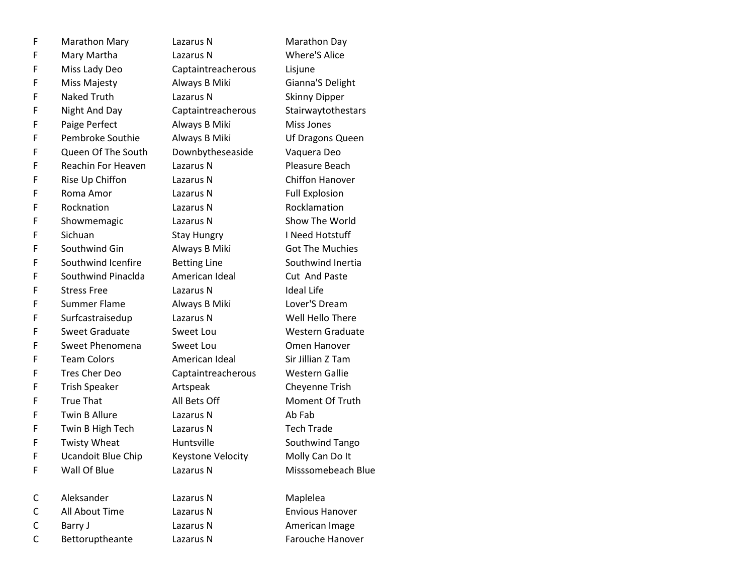| F | <b>Marathon Mary</b>      | Lazarus N           | Marathon Day           |
|---|---------------------------|---------------------|------------------------|
| F | Mary Martha               | Lazarus N           | <b>Where'S Alice</b>   |
| F | Miss Lady Deo             | Captaintreacherous  | Lisjune                |
| F | Miss Majesty              | Always B Miki       | Gianna'S Delight       |
| F | <b>Naked Truth</b>        | Lazarus N           | <b>Skinny Dipper</b>   |
| F | Night And Day             | Captaintreacherous  | Stairwaytothestars     |
| F | Paige Perfect             | Always B Miki       | Miss Jones             |
| F | Pembroke Southie          | Always B Miki       | Uf Dragons Queen       |
| F | Queen Of The South        | Downbytheseaside    | Vaquera Deo            |
| F | Reachin For Heaven        | Lazarus N           | Pleasure Beach         |
| F | Rise Up Chiffon           | Lazarus N           | <b>Chiffon Hanover</b> |
| F | Roma Amor                 | Lazarus N           | <b>Full Explosion</b>  |
| F | Rocknation                | Lazarus N           | Rocklamation           |
| F | Showmemagic               | Lazarus N           | Show The World         |
| F | Sichuan                   | <b>Stay Hungry</b>  | I Need Hotstuff        |
| F | Southwind Gin             | Always B Miki       | <b>Got The Muchies</b> |
| F | Southwind Icenfire        | <b>Betting Line</b> | Southwind Inertia      |
| F | Southwind Pinaclda        | American Ideal      | Cut And Paste          |
| F | <b>Stress Free</b>        | Lazarus N           | <b>Ideal Life</b>      |
| F | Summer Flame              | Always B Miki       | Lover'S Dream          |
| F | Surfcastraisedup          | Lazarus N           | Well Hello There       |
| F | <b>Sweet Graduate</b>     | Sweet Lou           | Western Graduate       |
| F | Sweet Phenomena           | Sweet Lou           | Omen Hanover           |
| F | <b>Team Colors</b>        | American Ideal      | Sir Jillian Z Tam      |
| F | Tres Cher Deo             | Captaintreacherous  | <b>Western Gallie</b>  |
| F | <b>Trish Speaker</b>      | Artspeak            | Cheyenne Trish         |
| F | <b>True That</b>          | All Bets Off        | Moment Of Truth        |
| F | <b>Twin B Allure</b>      | Lazarus N           | Ab Fab                 |
| F | Twin B High Tech          | Lazarus N           | <b>Tech Trade</b>      |
| F | <b>Twisty Wheat</b>       | Huntsville          | Southwind Tango        |
| F | <b>Ucandoit Blue Chip</b> | Keystone Velocity   | Molly Can Do It        |
| F | Wall Of Blue              | Lazarus N           | Misssomebeach Blue     |
| C | Aleksander                | Lazarus N           | Maplelea               |
| C | All About Time            | Lazarus N           | <b>Envious Hanover</b> |
| C | Barry J                   | Lazarus N           | American Image         |
| C | Bettoruptheante           | Lazarus N           | Farouche Hanover       |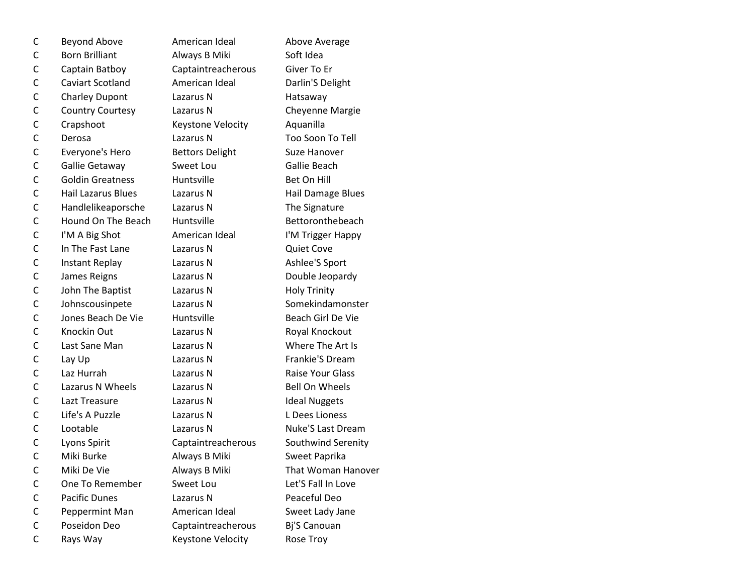| С            | <b>Beyond Above</b>       | American Ideal         | Above Average            |
|--------------|---------------------------|------------------------|--------------------------|
| C            | <b>Born Brilliant</b>     | Always B Miki          | Soft Idea                |
| C            | Captain Batboy            | Captaintreacherous     | Giver To Er              |
| C            | <b>Caviart Scotland</b>   | American Ideal         | Darlin'S Delight         |
| $\mathsf{C}$ | <b>Charley Dupont</b>     | Lazarus N              | Hatsaway                 |
| C            | <b>Country Courtesy</b>   | Lazarus N              | Cheyenne Margie          |
| C            | Crapshoot                 | Keystone Velocity      | Aquanilla                |
| $\mathsf{C}$ | Derosa                    | Lazarus N              | Too Soon To Tell         |
| C            | Everyone's Hero           | <b>Bettors Delight</b> | Suze Hanover             |
| $\mathsf{C}$ | Gallie Getaway            | Sweet Lou              | Gallie Beach             |
| C            | <b>Goldin Greatness</b>   | Huntsville             | Bet On Hill              |
| $\mathsf{C}$ | <b>Hail Lazarus Blues</b> | Lazarus N              | Hail Damage Blues        |
| C            | Handlelikeaporsche        | Lazarus N              | The Signature            |
| C            | Hound On The Beach        | Huntsville             | Bettoronthebeach         |
| $\mathsf{C}$ | I'M A Big Shot            | American Ideal         | I'M Trigger Happy        |
| C            | In The Fast Lane          | Lazarus N              | <b>Quiet Cove</b>        |
| C            | Instant Replay            | Lazarus N              | Ashlee'S Sport           |
| C            | James Reigns              | Lazarus N              | Double Jeopardy          |
| $\mathsf{C}$ | John The Baptist          | Lazarus N              | <b>Holy Trinity</b>      |
| C            | Johnscousinpete           | Lazarus N              | Somekindamonster         |
| C            | Jones Beach De Vie        | Huntsville             | Beach Girl De Vie        |
| $\mathsf{C}$ | Knockin Out               | Lazarus N              | Royal Knockout           |
| C            | Last Sane Man             | Lazarus N              | Where The Art Is         |
| $\mathsf{C}$ | Lay Up                    | Lazarus N              | Frankie'S Dream          |
| C            | Laz Hurrah                | Lazarus N              | <b>Raise Your Glass</b>  |
| C            | Lazarus N Wheels          | Lazarus N              | <b>Bell On Wheels</b>    |
| $\mathsf{C}$ | Lazt Treasure             | Lazarus N              | <b>Ideal Nuggets</b>     |
| C            | Life's A Puzzle           | Lazarus N              | L Dees Lioness           |
| $\mathsf{C}$ | Lootable                  | Lazarus N              | <b>Nuke'S Last Dream</b> |
| C            | Lyons Spirit              | Captaintreacherous     | Southwind Serenity       |
| $\mathsf{C}$ | Miki Burke                | Always B Miki          | Sweet Paprika            |
| С            | Miki De Vie               | Always B Miki          | That Woman Hanover       |
| C            | One To Remember           | Sweet Lou              | Let'S Fall In Love       |
| C            | <b>Pacific Dunes</b>      | Lazarus N              | Peaceful Deo             |
| C            | Peppermint Man            | American Ideal         | Sweet Lady Jane          |
| C            | Poseidon Deo              | Captaintreacherous     | Bj'S Canouan             |
| C            | Rays Way                  | Keystone Velocity      | Rose Troy                |